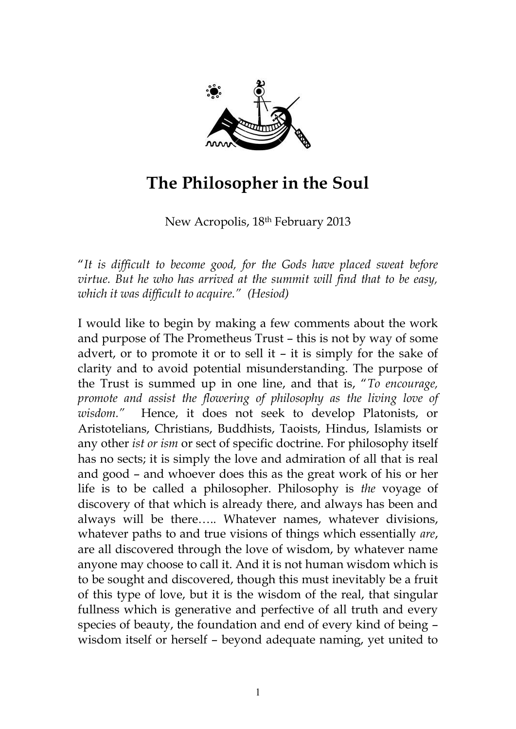

## **The Philosopher in the Soul**

New Acropolis, 18th February 2013

"*It is difficult to become good, for the Gods have placed sweat before virtue. But he who has arrived at the summit will find that to be easy, which it was difficult to acquire." (Hesiod)*

I would like to begin by making a few comments about the work and purpose of The Prometheus Trust – this is not by way of some advert, or to promote it or to sell it – it is simply for the sake of clarity and to avoid potential misunderstanding. The purpose of the Trust is summed up in one line, and that is, "*To encourage, promote and assist the flowering of philosophy as the living love of wisdom."* Hence, it does not seek to develop Platonists, or Aristotelians, Christians, Buddhists, Taoists, Hindus, Islamists or any other *ist or ism* or sect of specific doctrine. For philosophy itself has no sects; it is simply the love and admiration of all that is real and good – and whoever does this as the great work of his or her life is to be called a philosopher. Philosophy is *the* voyage of discovery of that which is already there, and always has been and always will be there….. Whatever names, whatever divisions, whatever paths to and true visions of things which essentially *are*, are all discovered through the love of wisdom, by whatever name anyone may choose to call it. And it is not human wisdom which is to be sought and discovered, though this must inevitably be a fruit of this type of love, but it is the wisdom of the real, that singular fullness which is generative and perfective of all truth and every species of beauty, the foundation and end of every kind of being – wisdom itself or herself – beyond adequate naming, yet united to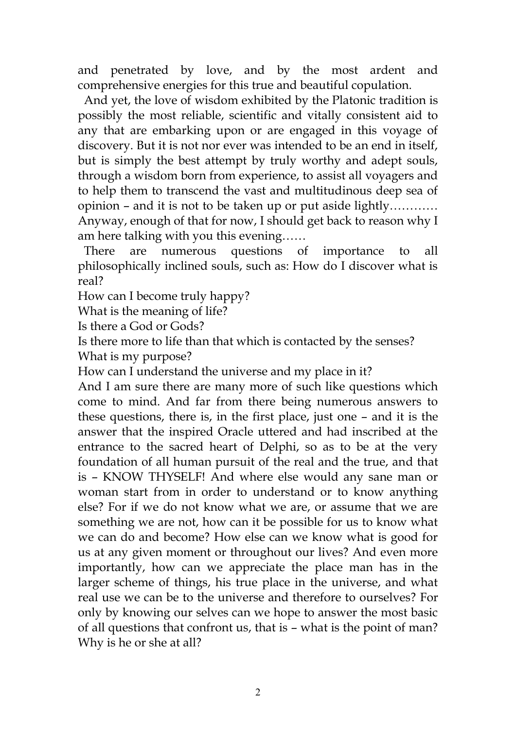and penetrated by love, and by the most ardent and comprehensive energies for this true and beautiful copulation.

 And yet, the love of wisdom exhibited by the Platonic tradition is possibly the most reliable, scientific and vitally consistent aid to any that are embarking upon or are engaged in this voyage of discovery. But it is not nor ever was intended to be an end in itself, but is simply the best attempt by truly worthy and adept souls, through a wisdom born from experience, to assist all voyagers and to help them to transcend the vast and multitudinous deep sea of opinion – and it is not to be taken up or put aside lightly………… Anyway, enough of that for now, I should get back to reason why I am here talking with you this evening……

 There are numerous questions of importance to all philosophically inclined souls, such as: How do I discover what is real?

How can I become truly happy?

What is the meaning of life?

Is there a God or Gods?

Is there more to life than that which is contacted by the senses?

What is my purpose?

How can I understand the universe and my place in it?

And I am sure there are many more of such like questions which come to mind. And far from there being numerous answers to these questions, there is, in the first place, just one – and it is the answer that the inspired Oracle uttered and had inscribed at the entrance to the sacred heart of Delphi, so as to be at the very foundation of all human pursuit of the real and the true, and that is – KNOW THYSELF! And where else would any sane man or woman start from in order to understand or to know anything else? For if we do not know what we are, or assume that we are something we are not, how can it be possible for us to know what we can do and become? How else can we know what is good for us at any given moment or throughout our lives? And even more importantly, how can we appreciate the place man has in the larger scheme of things, his true place in the universe, and what real use we can be to the universe and therefore to ourselves? For only by knowing our selves can we hope to answer the most basic of all questions that confront us, that is – what is the point of man? Why is he or she at all?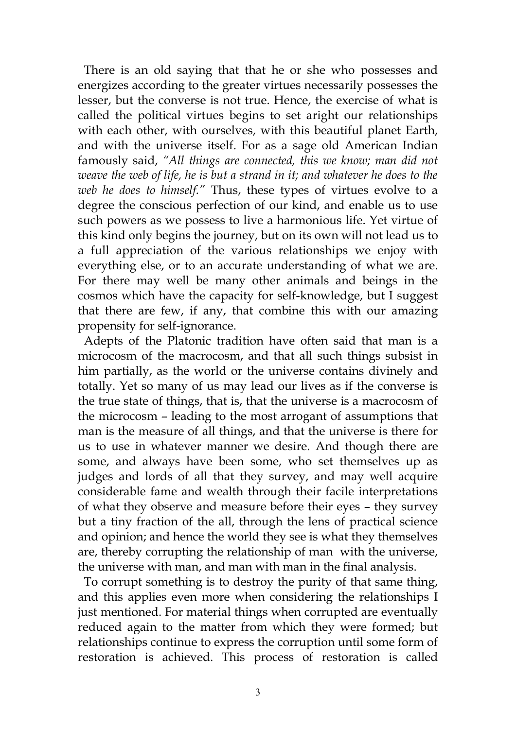There is an old saying that that he or she who possesses and energizes according to the greater virtues necessarily possesses the lesser, but the converse is not true. Hence, the exercise of what is called the political virtues begins to set aright our relationships with each other, with ourselves, with this beautiful planet Earth, and with the universe itself. For as a sage old American Indian famously said, *"All things are connected, this we know; man did not weave the web of life, he is but a strand in it; and whatever he does to the web he does to himself."* Thus, these types of virtues evolve to a degree the conscious perfection of our kind, and enable us to use such powers as we possess to live a harmonious life. Yet virtue of this kind only begins the journey, but on its own will not lead us to a full appreciation of the various relationships we enjoy with everything else, or to an accurate understanding of what we are. For there may well be many other animals and beings in the cosmos which have the capacity for self-knowledge, but I suggest that there are few, if any, that combine this with our amazing propensity for self-ignorance.

 Adepts of the Platonic tradition have often said that man is a microcosm of the macrocosm, and that all such things subsist in him partially, as the world or the universe contains divinely and totally. Yet so many of us may lead our lives as if the converse is the true state of things, that is, that the universe is a macrocosm of the microcosm – leading to the most arrogant of assumptions that man is the measure of all things, and that the universe is there for us to use in whatever manner we desire. And though there are some, and always have been some, who set themselves up as judges and lords of all that they survey, and may well acquire considerable fame and wealth through their facile interpretations of what they observe and measure before their eyes – they survey but a tiny fraction of the all, through the lens of practical science and opinion; and hence the world they see is what they themselves are, thereby corrupting the relationship of man with the universe, the universe with man, and man with man in the final analysis.

 To corrupt something is to destroy the purity of that same thing, and this applies even more when considering the relationships I just mentioned. For material things when corrupted are eventually reduced again to the matter from which they were formed; but relationships continue to express the corruption until some form of restoration is achieved. This process of restoration is called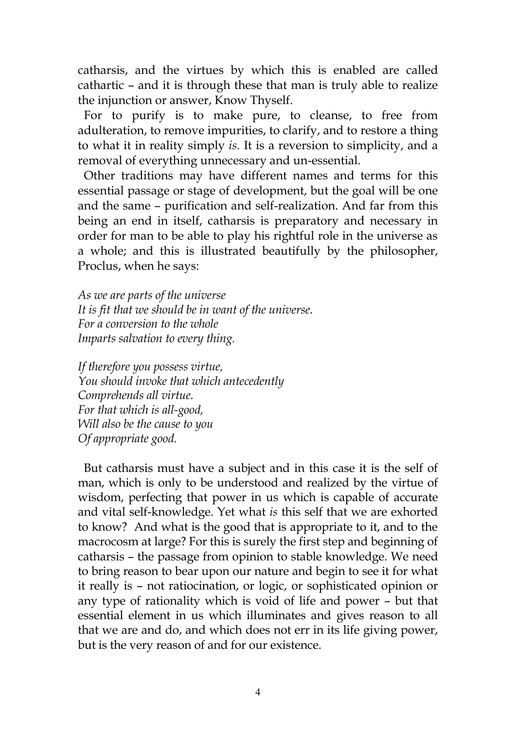catharsis, and the virtues by which this is enabled are called cathartic – and it is through these that man is truly able to realize the injunction or answer, Know Thyself.

 For to purify is to make pure, to cleanse, to free from adulteration, to remove impurities, to clarify, and to restore a thing to what it in reality simply *is.* It is a reversion to simplicity, and a removal of everything unnecessary and un-essential.

 Other traditions may have different names and terms for this essential passage or stage of development, but the goal will be one and the same – purification and self-realization. And far from this being an end in itself, catharsis is preparatory and necessary in order for man to be able to play his rightful role in the universe as a whole; and this is illustrated beautifully by the philosopher, Proclus, when he says:

*As we are parts of the universe It is fit that we should be in want of the universe. For a conversion to the whole Imparts salvation to every thing.* 

*If therefore you possess virtue, You should invoke that which antecedently Comprehends all virtue. For that which is all-good, Will also be the cause to you Of appropriate good.*

 But catharsis must have a subject and in this case it is the self of man, which is only to be understood and realized by the virtue of wisdom, perfecting that power in us which is capable of accurate and vital self-knowledge. Yet what *is* this self that we are exhorted to know? And what is the good that is appropriate to it, and to the macrocosm at large? For this is surely the first step and beginning of catharsis – the passage from opinion to stable knowledge. We need to bring reason to bear upon our nature and begin to see it for what it really is – not ratiocination, or logic, or sophisticated opinion or any type of rationality which is void of life and power – but that essential element in us which illuminates and gives reason to all that we are and do, and which does not err in its life giving power, but is the very reason of and for our existence.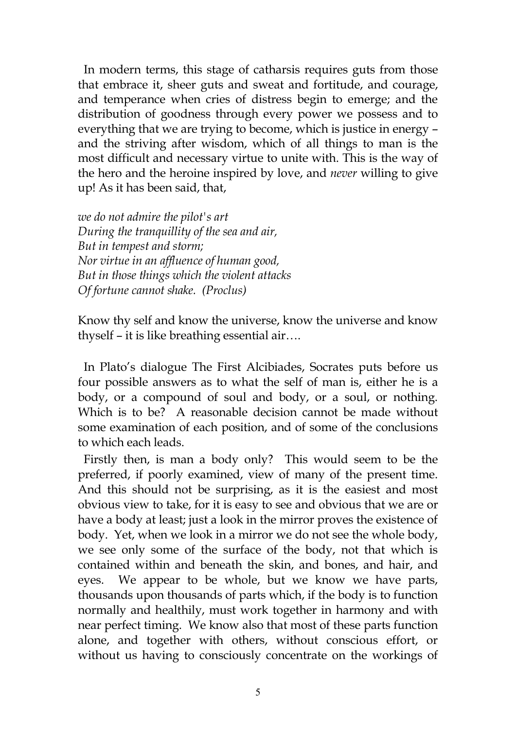In modern terms, this stage of catharsis requires guts from those that embrace it, sheer guts and sweat and fortitude, and courage, and temperance when cries of distress begin to emerge; and the distribution of goodness through every power we possess and to everything that we are trying to become, which is justice in energy – and the striving after wisdom, which of all things to man is the most difficult and necessary virtue to unite with. This is the way of the hero and the heroine inspired by love, and *never* willing to give up! As it has been said, that,

*we do not admire the pilot's art During the tranquillity of the sea and air, But in tempest and storm; Nor virtue in an affluence of human good, But in those things which the violent attacks Of fortune cannot shake. (Proclus)*

Know thy self and know the universe, know the universe and know thyself – it is like breathing essential air….

 In Plato's dialogue The First Alcibiades, Socrates puts before us four possible answers as to what the self of man is, either he is a body, or a compound of soul and body, or a soul, or nothing. Which is to be? A reasonable decision cannot be made without some examination of each position, and of some of the conclusions to which each leads.

 Firstly then, is man a body only? This would seem to be the preferred, if poorly examined, view of many of the present time. And this should not be surprising, as it is the easiest and most obvious view to take, for it is easy to see and obvious that we are or have a body at least; just a look in the mirror proves the existence of body. Yet, when we look in a mirror we do not see the whole body, we see only some of the surface of the body, not that which is contained within and beneath the skin, and bones, and hair, and eyes. We appear to be whole, but we know we have parts, thousands upon thousands of parts which, if the body is to function normally and healthily, must work together in harmony and with near perfect timing. We know also that most of these parts function alone, and together with others, without conscious effort, or without us having to consciously concentrate on the workings of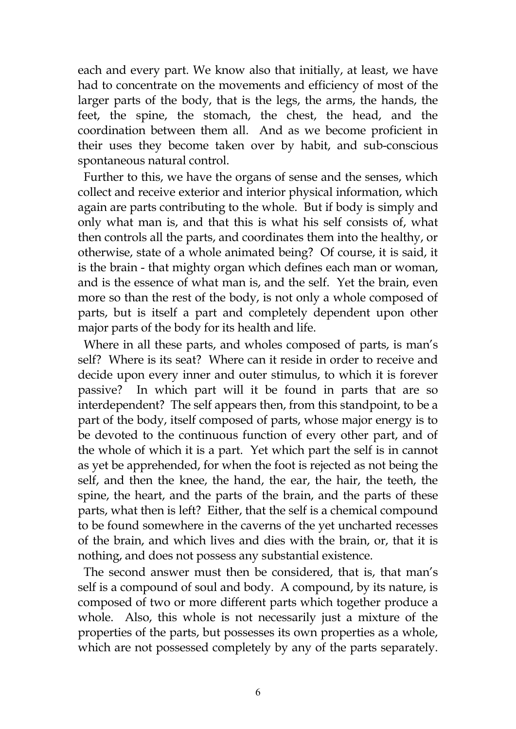each and every part. We know also that initially, at least, we have had to concentrate on the movements and efficiency of most of the larger parts of the body, that is the legs, the arms, the hands, the feet, the spine, the stomach, the chest, the head, and the coordination between them all. And as we become proficient in their uses they become taken over by habit, and sub-conscious spontaneous natural control.

 Further to this, we have the organs of sense and the senses, which collect and receive exterior and interior physical information, which again are parts contributing to the whole. But if body is simply and only what man is, and that this is what his self consists of, what then controls all the parts, and coordinates them into the healthy, or otherwise, state of a whole animated being? Of course, it is said, it is the brain - that mighty organ which defines each man or woman, and is the essence of what man is, and the self. Yet the brain, even more so than the rest of the body, is not only a whole composed of parts, but is itself a part and completely dependent upon other major parts of the body for its health and life.

 Where in all these parts, and wholes composed of parts, is man's self? Where is its seat? Where can it reside in order to receive and decide upon every inner and outer stimulus, to which it is forever passive? In which part will it be found in parts that are so interdependent? The self appears then, from this standpoint, to be a part of the body, itself composed of parts, whose major energy is to be devoted to the continuous function of every other part, and of the whole of which it is a part. Yet which part the self is in cannot as yet be apprehended, for when the foot is rejected as not being the self, and then the knee, the hand, the ear, the hair, the teeth, the spine, the heart, and the parts of the brain, and the parts of these parts, what then is left? Either, that the self is a chemical compound to be found somewhere in the caverns of the yet uncharted recesses of the brain, and which lives and dies with the brain, or, that it is nothing, and does not possess any substantial existence.

 The second answer must then be considered, that is, that man's self is a compound of soul and body. A compound, by its nature, is composed of two or more different parts which together produce a whole. Also, this whole is not necessarily just a mixture of the properties of the parts, but possesses its own properties as a whole, which are not possessed completely by any of the parts separately.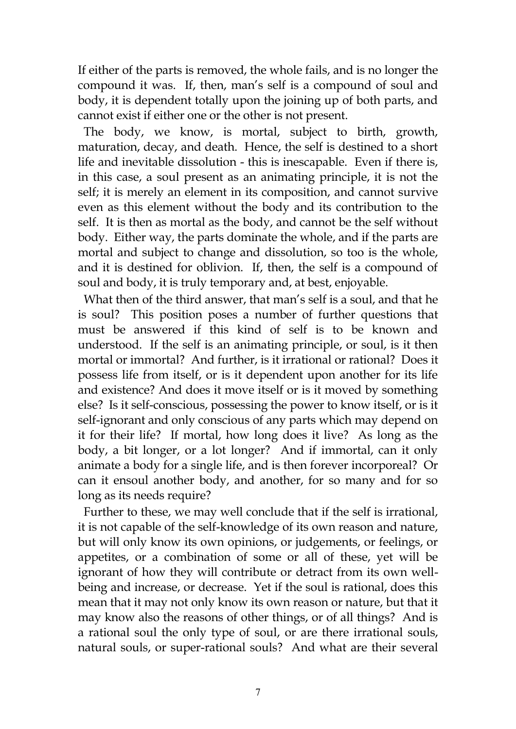If either of the parts is removed, the whole fails, and is no longer the compound it was. If, then, man's self is a compound of soul and body, it is dependent totally upon the joining up of both parts, and cannot exist if either one or the other is not present.

 The body, we know, is mortal, subject to birth, growth, maturation, decay, and death. Hence, the self is destined to a short life and inevitable dissolution - this is inescapable. Even if there is, in this case, a soul present as an animating principle, it is not the self; it is merely an element in its composition, and cannot survive even as this element without the body and its contribution to the self. It is then as mortal as the body, and cannot be the self without body. Either way, the parts dominate the whole, and if the parts are mortal and subject to change and dissolution, so too is the whole, and it is destined for oblivion. If, then, the self is a compound of soul and body, it is truly temporary and, at best, enjoyable.

 What then of the third answer, that man's self is a soul, and that he is soul? This position poses a number of further questions that must be answered if this kind of self is to be known and understood. If the self is an animating principle, or soul, is it then mortal or immortal? And further, is it irrational or rational? Does it possess life from itself, or is it dependent upon another for its life and existence? And does it move itself or is it moved by something else? Is it self-conscious, possessing the power to know itself, or is it self-ignorant and only conscious of any parts which may depend on it for their life? If mortal, how long does it live? As long as the body, a bit longer, or a lot longer? And if immortal, can it only animate a body for a single life, and is then forever incorporeal? Or can it ensoul another body, and another, for so many and for so long as its needs require?

 Further to these, we may well conclude that if the self is irrational, it is not capable of the self-knowledge of its own reason and nature, but will only know its own opinions, or judgements, or feelings, or appetites, or a combination of some or all of these, yet will be ignorant of how they will contribute or detract from its own wellbeing and increase, or decrease. Yet if the soul is rational, does this mean that it may not only know its own reason or nature, but that it may know also the reasons of other things, or of all things? And is a rational soul the only type of soul, or are there irrational souls, natural souls, or super-rational souls? And what are their several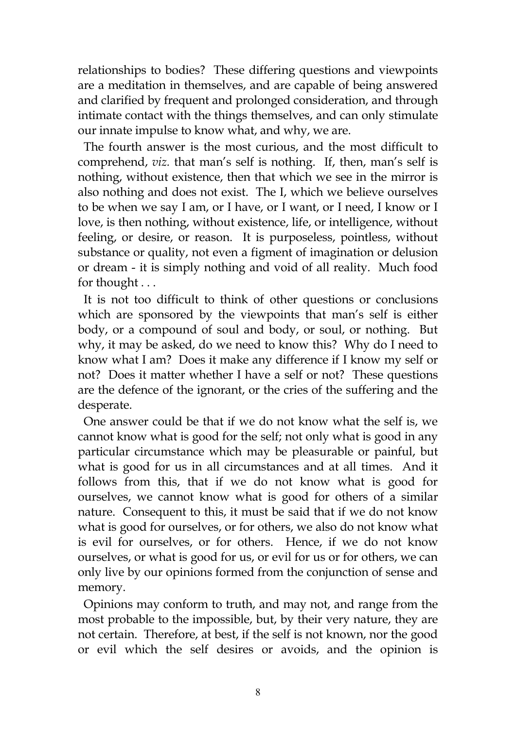relationships to bodies? These differing questions and viewpoints are a meditation in themselves, and are capable of being answered and clarified by frequent and prolonged consideration, and through intimate contact with the things themselves, and can only stimulate our innate impulse to know what, and why, we are.

 The fourth answer is the most curious, and the most difficult to comprehend, *viz.* that man's self is nothing. If, then, man's self is nothing, without existence, then that which we see in the mirror is also nothing and does not exist. The I, which we believe ourselves to be when we say I am, or I have, or I want, or I need, I know or I love, is then nothing, without existence, life, or intelligence, without feeling, or desire, or reason. It is purposeless, pointless, without substance or quality, not even a figment of imagination or delusion or dream - it is simply nothing and void of all reality. Much food for thought . . .

 It is not too difficult to think of other questions or conclusions which are sponsored by the viewpoints that man's self is either body, or a compound of soul and body, or soul, or nothing. But why, it may be asked, do we need to know this? Why do I need to know what I am? Does it make any difference if I know my self or not? Does it matter whether I have a self or not? These questions are the defence of the ignorant, or the cries of the suffering and the desperate.

 One answer could be that if we do not know what the self is, we cannot know what is good for the self; not only what is good in any particular circumstance which may be pleasurable or painful, but what is good for us in all circumstances and at all times. And it follows from this, that if we do not know what is good for ourselves, we cannot know what is good for others of a similar nature. Consequent to this, it must be said that if we do not know what is good for ourselves, or for others, we also do not know what is evil for ourselves, or for others. Hence, if we do not know ourselves, or what is good for us, or evil for us or for others, we can only live by our opinions formed from the conjunction of sense and memory.

 Opinions may conform to truth, and may not, and range from the most probable to the impossible, but, by their very nature, they are not certain. Therefore, at best, if the self is not known, nor the good or evil which the self desires or avoids, and the opinion is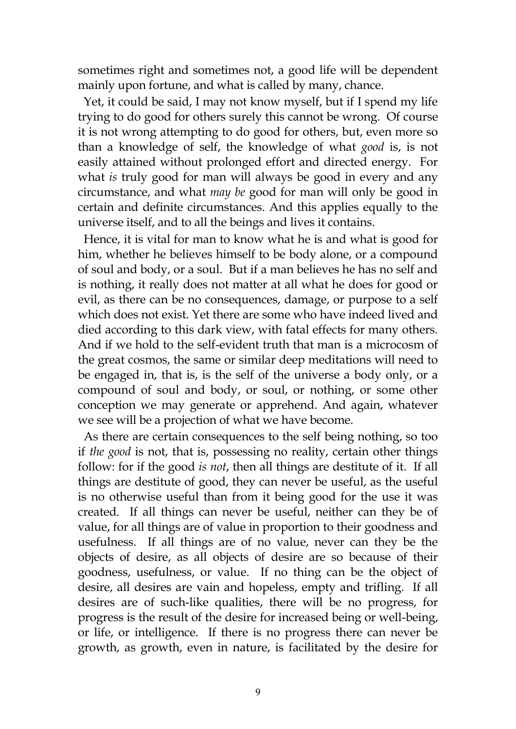sometimes right and sometimes not, a good life will be dependent mainly upon fortune, and what is called by many, chance.

 Yet, it could be said, I may not know myself, but if I spend my life trying to do good for others surely this cannot be wrong. Of course it is not wrong attempting to do good for others, but, even more so than a knowledge of self, the knowledge of what *good* is, is not easily attained without prolonged effort and directed energy. For what *is* truly good for man will always be good in every and any circumstance, and what *may be* good for man will only be good in certain and definite circumstances. And this applies equally to the universe itself, and to all the beings and lives it contains.

 Hence, it is vital for man to know what he is and what is good for him, whether he believes himself to be body alone, or a compound of soul and body, or a soul. But if a man believes he has no self and is nothing, it really does not matter at all what he does for good or evil, as there can be no consequences, damage, or purpose to a self which does not exist. Yet there are some who have indeed lived and died according to this dark view, with fatal effects for many others. And if we hold to the self-evident truth that man is a microcosm of the great cosmos, the same or similar deep meditations will need to be engaged in, that is, is the self of the universe a body only, or a compound of soul and body, or soul, or nothing, or some other conception we may generate or apprehend. And again, whatever we see will be a projection of what we have become.

 As there are certain consequences to the self being nothing, so too if *the good* is not, that is, possessing no reality, certain other things follow: for if the good *is not*, then all things are destitute of it. If all things are destitute of good, they can never be useful, as the useful is no otherwise useful than from it being good for the use it was created. If all things can never be useful, neither can they be of value, for all things are of value in proportion to their goodness and usefulness. If all things are of no value, never can they be the objects of desire, as all objects of desire are so because of their goodness, usefulness, or value. If no thing can be the object of desire, all desires are vain and hopeless, empty and trifling. If all desires are of such-like qualities, there will be no progress, for progress is the result of the desire for increased being or well-being, or life, or intelligence. If there is no progress there can never be growth, as growth, even in nature, is facilitated by the desire for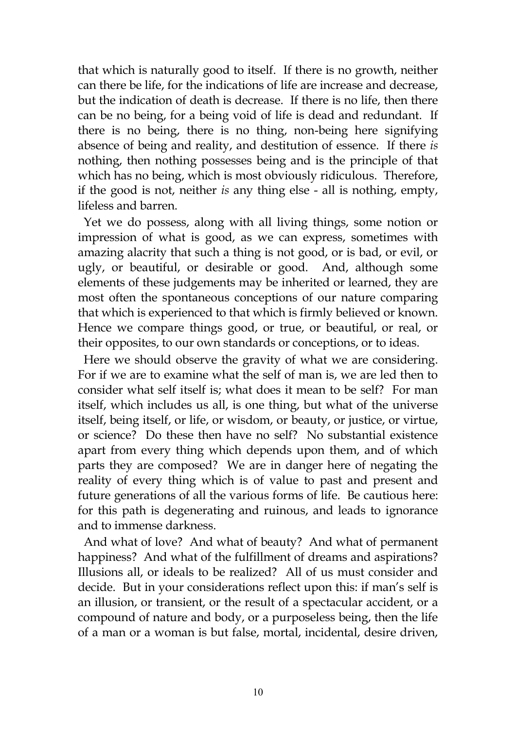that which is naturally good to itself. If there is no growth, neither can there be life, for the indications of life are increase and decrease, but the indication of death is decrease. If there is no life, then there can be no being, for a being void of life is dead and redundant. If there is no being, there is no thing, non-being here signifying absence of being and reality, and destitution of essence. If there *is* nothing, then nothing possesses being and is the principle of that which has no being, which is most obviously ridiculous. Therefore, if the good is not, neither *is* any thing else - all is nothing, empty, lifeless and barren.

 Yet we do possess, along with all living things, some notion or impression of what is good, as we can express, sometimes with amazing alacrity that such a thing is not good, or is bad, or evil, or ugly, or beautiful, or desirable or good. And, although some elements of these judgements may be inherited or learned, they are most often the spontaneous conceptions of our nature comparing that which is experienced to that which is firmly believed or known. Hence we compare things good, or true, or beautiful, or real, or their opposites, to our own standards or conceptions, or to ideas.

 Here we should observe the gravity of what we are considering. For if we are to examine what the self of man is, we are led then to consider what self itself is; what does it mean to be self? For man itself, which includes us all, is one thing, but what of the universe itself, being itself, or life, or wisdom, or beauty, or justice, or virtue, or science? Do these then have no self? No substantial existence apart from every thing which depends upon them, and of which parts they are composed? We are in danger here of negating the reality of every thing which is of value to past and present and future generations of all the various forms of life. Be cautious here: for this path is degenerating and ruinous, and leads to ignorance and to immense darkness.

 And what of love? And what of beauty? And what of permanent happiness? And what of the fulfillment of dreams and aspirations? Illusions all, or ideals to be realized? All of us must consider and decide. But in your considerations reflect upon this: if man's self is an illusion, or transient, or the result of a spectacular accident, or a compound of nature and body, or a purposeless being, then the life of a man or a woman is but false, mortal, incidental, desire driven,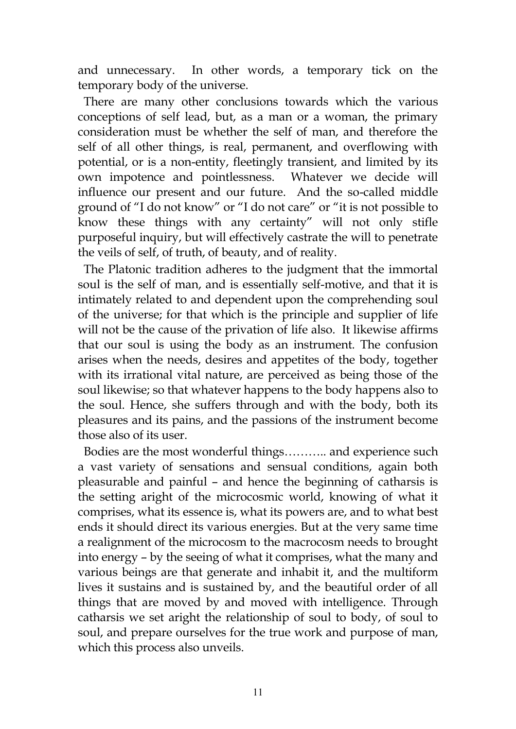and unnecessary. In other words, a temporary tick on the temporary body of the universe.

 There are many other conclusions towards which the various conceptions of self lead, but, as a man or a woman, the primary consideration must be whether the self of man, and therefore the self of all other things, is real, permanent, and overflowing with potential, or is a non-entity, fleetingly transient, and limited by its own impotence and pointlessness. Whatever we decide will influence our present and our future. And the so-called middle ground of "I do not know" or "I do not care" or "it is not possible to know these things with any certainty" will not only stifle purposeful inquiry, but will effectively castrate the will to penetrate the veils of self, of truth, of beauty, and of reality.

 The Platonic tradition adheres to the judgment that the immortal soul is the self of man, and is essentially self-motive, and that it is intimately related to and dependent upon the comprehending soul of the universe; for that which is the principle and supplier of life will not be the cause of the privation of life also. It likewise affirms that our soul is using the body as an instrument. The confusion arises when the needs, desires and appetites of the body, together with its irrational vital nature, are perceived as being those of the soul likewise; so that whatever happens to the body happens also to the soul. Hence, she suffers through and with the body, both its pleasures and its pains, and the passions of the instrument become those also of its user.

 Bodies are the most wonderful things……….. and experience such a vast variety of sensations and sensual conditions, again both pleasurable and painful – and hence the beginning of catharsis is the setting aright of the microcosmic world, knowing of what it comprises, what its essence is, what its powers are, and to what best ends it should direct its various energies. But at the very same time a realignment of the microcosm to the macrocosm needs to brought into energy – by the seeing of what it comprises, what the many and various beings are that generate and inhabit it, and the multiform lives it sustains and is sustained by, and the beautiful order of all things that are moved by and moved with intelligence. Through catharsis we set aright the relationship of soul to body, of soul to soul, and prepare ourselves for the true work and purpose of man, which this process also unveils.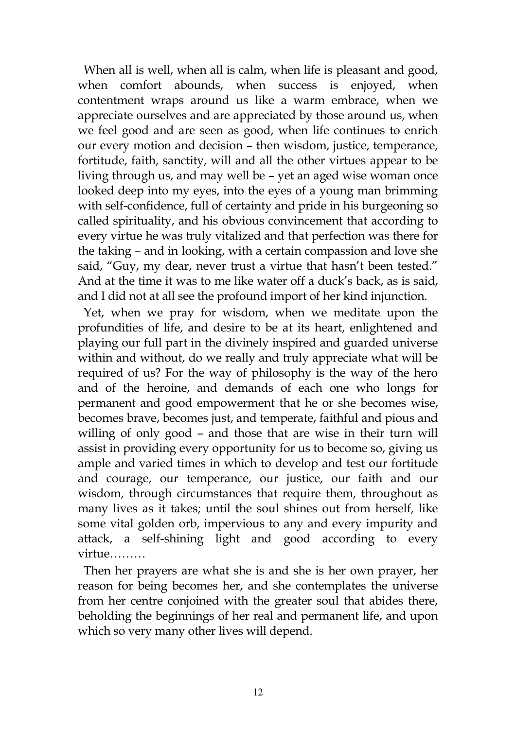When all is well, when all is calm, when life is pleasant and good, when comfort abounds, when success is enjoyed, when contentment wraps around us like a warm embrace, when we appreciate ourselves and are appreciated by those around us, when we feel good and are seen as good, when life continues to enrich our every motion and decision – then wisdom, justice, temperance, fortitude, faith, sanctity, will and all the other virtues appear to be living through us, and may well be – yet an aged wise woman once looked deep into my eyes, into the eyes of a young man brimming with self-confidence, full of certainty and pride in his burgeoning so called spirituality, and his obvious convincement that according to every virtue he was truly vitalized and that perfection was there for the taking – and in looking, with a certain compassion and love she said, "Guy, my dear, never trust a virtue that hasn't been tested." And at the time it was to me like water off a duck's back, as is said, and I did not at all see the profound import of her kind injunction.

 Yet, when we pray for wisdom, when we meditate upon the profundities of life, and desire to be at its heart, enlightened and playing our full part in the divinely inspired and guarded universe within and without, do we really and truly appreciate what will be required of us? For the way of philosophy is the way of the hero and of the heroine, and demands of each one who longs for permanent and good empowerment that he or she becomes wise, becomes brave, becomes just, and temperate, faithful and pious and willing of only good – and those that are wise in their turn will assist in providing every opportunity for us to become so, giving us ample and varied times in which to develop and test our fortitude and courage, our temperance, our justice, our faith and our wisdom, through circumstances that require them, throughout as many lives as it takes; until the soul shines out from herself, like some vital golden orb, impervious to any and every impurity and attack, a self-shining light and good according to every virtue………

 Then her prayers are what she is and she is her own prayer, her reason for being becomes her, and she contemplates the universe from her centre conjoined with the greater soul that abides there, beholding the beginnings of her real and permanent life, and upon which so very many other lives will depend.